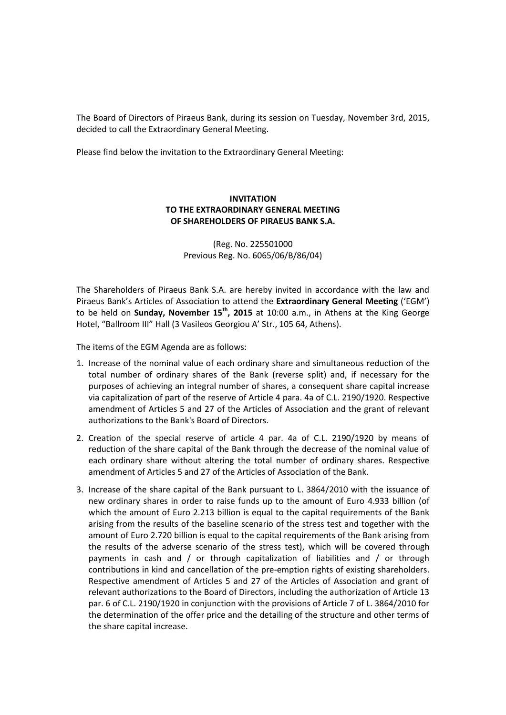The Board of Directors of Piraeus Bank, during its session on Tuesday, November 3rd, 2015, decided to call the Extraordinary General Meeting.

Please find below the invitation to the Extraordinary General Meeting:

## **INVITATION TO THE EXTRAORDINARY GENERAL MEETING OF SHAREHOLDERS OF PIRAEUS BANK S.A.**

(Reg. No. 225501000 Previous Reg. No. 6065/06/Β/86/04)

The Shareholders of Piraeus Bank S.A. are hereby invited in accordance with the law and Piraeus Bank's Articles of Association to attend the **Extraordinary General Meeting** ('EGM') to be held on **Sunday, November 15th, 2015** at 10:00 a.m., in Athens at the King George Hotel, "Ballroom III" Hall (3 Vasileos Georgiou A' Str., 105 64, Athens).

The items of the EGM Agenda are as follows:

- 1. Increase of the nominal value of each ordinary share and simultaneous reduction of the total number of ordinary shares of the Bank (reverse split) and, if necessary for the purposes of achieving an integral number of shares, a consequent share capital increase via capitalization of part of the reserve of Article 4 para. 4a of C.L. 2190/1920. Respective amendment of Articles 5 and 27 of the Articles of Association and the grant of relevant authorizations to the Bank's Board of Directors.
- 2. Creation of the special reserve of article 4 par. 4a of C.L. 2190/1920 by means of reduction of the share capital of the Bank through the decrease of the nominal value of each ordinary share without altering the total number of ordinary shares. Respective amendment of Articles 5 and 27 of the Articles of Association of the Bank.
- 3. Increase of the share capital of the Bank pursuant to L. 3864/2010 with the issuance of new ordinary shares in order to raise funds up to the amount of Euro 4.933 billion (of which the amount of Euro 2.213 billion is equal to the capital requirements of the Bank arising from the results of the baseline scenario of the stress test and together with the amount of Euro 2.720 billion is equal to the capital requirements of the Bank arising from the results of the adverse scenario of the stress test), which will be covered through payments in cash and / or through capitalization of liabilities and / or through contributions in kind and cancellation of the pre-emption rights of existing shareholders. Respective amendment of Articles 5 and 27 of the Articles of Association and grant of relevant authorizations to the Board of Directors, including the authorization of Article 13 par. 6 of C.L. 2190/1920 in conjunction with the provisions of Article 7 of L. 3864/2010 for the determination of the offer price and the detailing of the structure and other terms of the share capital increase.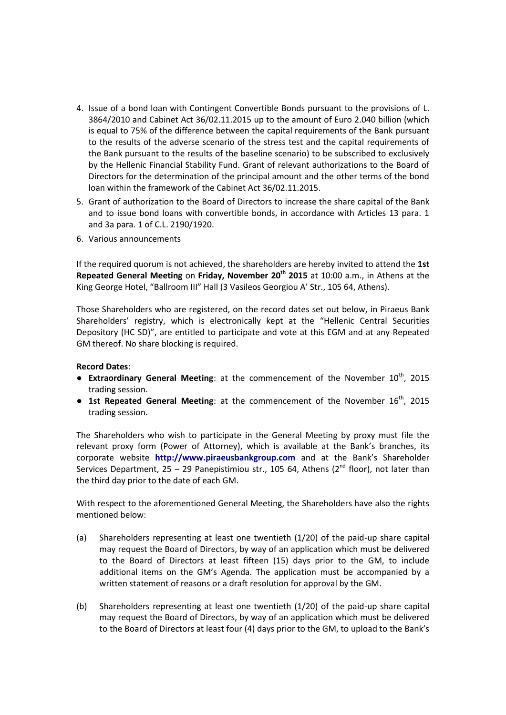- 4. Issue of a bond loan with Contingent Convertible Bonds pursuant to the provisions of L. 3864/2010 and Cabinet Act 36/02.11.2015 up to the amount of Euro 2.040 billion (which is equal to 75% of the difference between the capital requirements of the Bank pursuant to the results of the adverse scenario of the stress test and the capital requirements of the Bank pursuant to the results of the baseline scenario) to be subscribed to exclusively by the Hellenic Financial Stability Fund. Grant of relevant authorizations to the Board of Directors for the determination of the principal amount and the other terms of the bond loan within the framework of the Cabinet Act 36/02.11.2015.
- 5. Grant of authorization to the Board of Directors to increase the share capital of the Bank and to issue bond loans with convertible bonds, in accordance with Articles 13 para. 1 and 3a para. 1 of C.L. 2190/1920.
- 6. Various announcements

If the required quorum is not achieved, the shareholders are hereby invited to attend the **1st Repeated General Meeting** on **Friday, November 20th 2015** at 10:00 a.m., in Athens at the King George Hotel, "Ballroom III" Hall (3 Vasileos Georgiou A' Str., 105 64, Athens).

Those Shareholders who are registered, on the record dates set out below, in Piraeus Bank Shareholders' registry, which is electronically kept at the "Hellenic Central Securities Depository (HC SD)", are entitled to participate and vote at this EGM and at any Repeated GM thereof. No share blocking is required.

## **Record Dates**:

- **Extraordinary General Meeting**: at the commencement of the November 10<sup>th</sup>, 2015 trading session.
- **1st Repeated General Meeting**: at the commencement of the November 16<sup>th</sup>, 2015 trading session.

The Shareholders who wish to participate in the General Meeting by proxy must file the relevant proxy form (Power of Attorney), which is available at the Bank's branches, its corporate website **http://www.piraeusbankgroup.com** and at the Bank's Shareholder Services Department, 25 – 29 Panepistimiou str., 105 64, Athens ( $2^{nd}$  floor), not later than the third day prior to the date of each GM.

With respect to the aforementioned General Meeting, the Shareholders have also the rights mentioned below:

- (a) Shareholders representing at least one twentieth (1/20) of the paid-up share capital may request the Board of Directors, by way of an application which must be delivered to the Board of Directors at least fifteen (15) days prior to the GM, to include additional items on the GM's Agenda. The application must be accompanied by a written statement of reasons or a draft resolution for approval by the GM.
- (b) Shareholders representing at least one twentieth (1/20) of the paid-up share capital may request the Board of Directors, by way of an application which must be delivered to the Board of Directors at least four (4) days prior to the GM, to upload to the Bank's